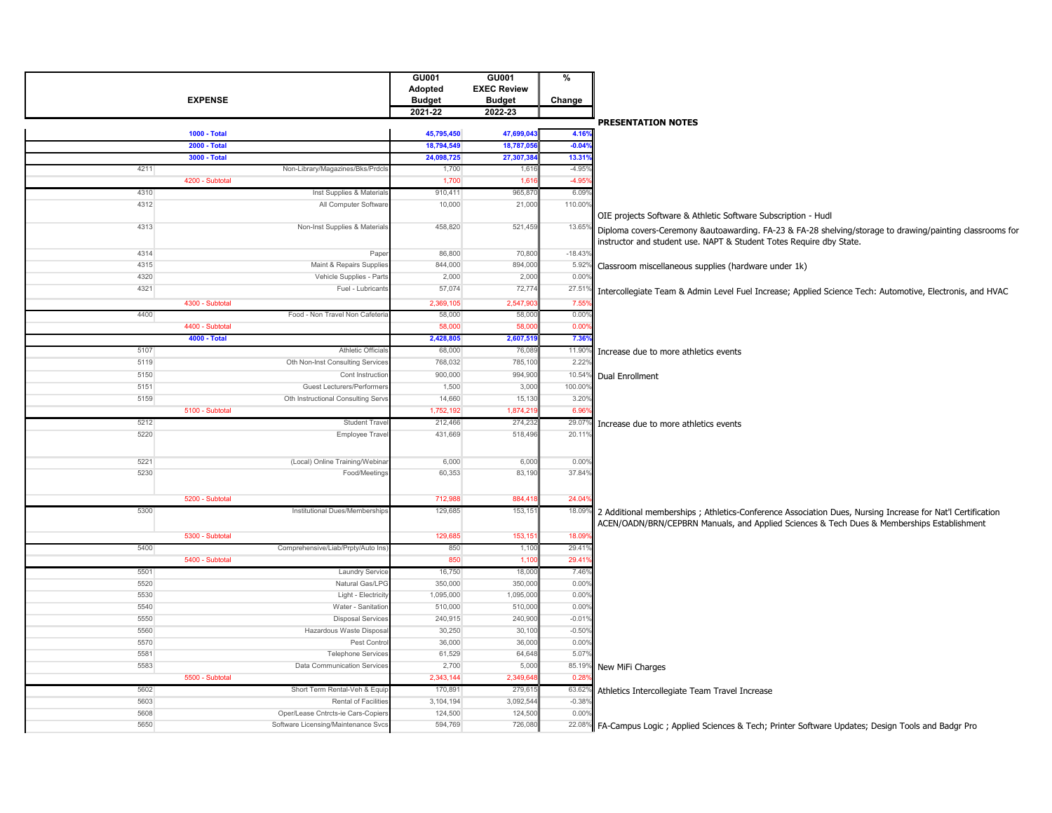| <b>EXPENSE</b>                                               | GU001<br>Adopted<br><b>Budget</b><br>2021-22 | GU001<br><b>EXEC Review</b><br><b>Budget</b><br>2022-23 | %<br>Change     |                                                                                                                                                                                 |
|--------------------------------------------------------------|----------------------------------------------|---------------------------------------------------------|-----------------|---------------------------------------------------------------------------------------------------------------------------------------------------------------------------------|
|                                                              |                                              |                                                         |                 | <b>PRESENTATION NOTES</b>                                                                                                                                                       |
| <b>1000 - Total</b>                                          | 45,795,450                                   | 47,699,04                                               | 4.16%           |                                                                                                                                                                                 |
| <b>2000 - Total</b>                                          | 18,794,549                                   | 18,787,05                                               | $-0.04%$        |                                                                                                                                                                                 |
| 3000 - Total                                                 | 24,098,725                                   | 27,307,3                                                | 13.319          |                                                                                                                                                                                 |
| 4211<br>Non-Library/Magazines/Bks/Prdcl                      | 1,700                                        | 1,61                                                    | $-4.95o$        |                                                                                                                                                                                 |
| 4200 - Subtotal                                              | 1,700                                        | 1,61                                                    | $-4.95$         |                                                                                                                                                                                 |
| 4310<br>Inst Supplies & Materials                            | 910,411                                      | 965,87                                                  | 6.09%           |                                                                                                                                                                                 |
| 4312<br>All Computer Software                                | 10,000                                       | 21,000                                                  | 110.00%         |                                                                                                                                                                                 |
|                                                              |                                              |                                                         |                 | OIE projects Software & Athletic Software Subscription - Hudl                                                                                                                   |
| 4313<br>Non-Inst Supplies & Materials                        | 458,820                                      | 521,459                                                 | $13.65^{\circ}$ | Diploma covers-Ceremony &autoawarding. FA-23 & FA-28 shelving/storage to drawing/painting classrooms for<br>instructor and student use. NAPT & Student Totes Require dby State. |
| 4314<br>Pape                                                 | 86,800                                       | 70,80                                                   | $-18.439$       |                                                                                                                                                                                 |
| 4315<br>Maint & Repairs Supplies                             | 844,000                                      | 894,000                                                 | 5.92            | Classroom miscellaneous supplies (hardware under 1k)                                                                                                                            |
| 4320<br>Vehicle Supplies - Parts                             | 2,000                                        | 2,00                                                    | 0.009           |                                                                                                                                                                                 |
| 4321<br>Fuel - Lubricants                                    | 57,074                                       | 72,77                                                   | 27.51           | Intercollegiate Team & Admin Level Fuel Increase; Applied Science Tech: Automotive, Electronis, and HVAC                                                                        |
| 4300 - Subtotal                                              | 2,369,105                                    | 2,547,9                                                 | 7.55            |                                                                                                                                                                                 |
| 4400<br>Food - Non Travel Non Cafeteri                       | 58,000                                       | 58,00                                                   | 0.009           |                                                                                                                                                                                 |
| 4400 - Subtotal                                              | 58,000                                       | 58,00                                                   | 0.00            |                                                                                                                                                                                 |
| 4000 - Total                                                 | 2,428,805                                    | 2,607,51                                                | 7.36%           |                                                                                                                                                                                 |
| 5107<br>Athletic Officia                                     | 68,000                                       | 76,08                                                   | 11.909          | Increase due to more athletics events                                                                                                                                           |
| 5119<br>Oth Non-Inst Consulting Services                     | 768,032                                      | 785,10                                                  | $2.22^{\circ}$  |                                                                                                                                                                                 |
| 5150<br>Cont Instruction                                     | 900,000                                      | 994,90                                                  |                 | 10.54% Dual Enrollment                                                                                                                                                          |
| 5151<br>Guest Lecturers/Performer                            | 1,500                                        | 3,00                                                    | 100.00%         |                                                                                                                                                                                 |
| Oth Instructional Consulting Servs<br>5159                   | 14,660                                       | 15,13                                                   | 3.20%           |                                                                                                                                                                                 |
| 5100 - Subtotal                                              | 1,752,192                                    | 1,874,21                                                | 6.96            |                                                                                                                                                                                 |
| <b>Student Trave</b><br>5212                                 | 212,466                                      | 274,23                                                  | 29.07           | Increase due to more athletics events                                                                                                                                           |
| 5220<br>Employee Travel                                      | 431,669                                      | 518,496                                                 | 20.11           |                                                                                                                                                                                 |
|                                                              |                                              |                                                         |                 |                                                                                                                                                                                 |
| 5221<br>(Local) Online Training/Webina                       | 6,000                                        | 6,000                                                   | 0.00%           |                                                                                                                                                                                 |
| 5230<br>Food/Meetings                                        | 60,353                                       | 83,190                                                  | 37.84%          |                                                                                                                                                                                 |
|                                                              |                                              |                                                         |                 |                                                                                                                                                                                 |
| 5200 - Subtotal                                              | 712,988                                      | 884,41                                                  | 24.04%          |                                                                                                                                                                                 |
| 5300<br>Institutional Dues/Memberships                       | 129,685                                      | 153, 15'                                                | 18.099          |                                                                                                                                                                                 |
|                                                              |                                              |                                                         |                 | 2 Additional memberships; Athletics-Conference Association Dues, Nursing Increase for Nat'l Certification                                                                       |
|                                                              |                                              |                                                         |                 | ACEN/OADN/BRN/CEPBRN Manuals, and Applied Sciences & Tech Dues & Memberships Establishment                                                                                      |
| 5300 - Subtotal                                              | 129,685                                      | 153,15                                                  | 18.09           |                                                                                                                                                                                 |
| 5400<br>Comprehensive/Liab/Prpty/Auto Ins<br>5400 - Subtotal | 850<br>850                                   | 1,10<br>1,10                                            | 29.41<br>29.41  |                                                                                                                                                                                 |
| 5501                                                         | 16,750                                       | 18,00                                                   | 7.46%           |                                                                                                                                                                                 |
| <b>Laundry Service</b><br>5520<br>Natural Gas/LPG            | 350,000                                      | 350,00                                                  | 0.00%           |                                                                                                                                                                                 |
| 5530<br>Light - Electricit                                   | 1,095,000                                    | 1,095,00                                                | 0.009           |                                                                                                                                                                                 |
| 5540<br>Water - Sanitation                                   | 510,000                                      | 510,000                                                 | 0.00%           |                                                                                                                                                                                 |
| 5550<br><b>Disposal Services</b>                             | 240,915                                      | 240,900                                                 | $-0.019$        |                                                                                                                                                                                 |
| 5560<br>Hazardous Waste Disposa                              | 30,250                                       | 30,10                                                   | $-0.509$        |                                                                                                                                                                                 |
| 5570<br>Pest Contro                                          | 36,000                                       | 36,000                                                  | 0.00%           |                                                                                                                                                                                 |
| 5581<br><b>Telephone Services</b>                            | 61,529                                       | 64,64                                                   | 5.079           |                                                                                                                                                                                 |
| 5583<br><b>Data Communication Services</b>                   | 2,700                                        | 5,000                                                   | 85.199          |                                                                                                                                                                                 |
| 5500 - Subtotal                                              | 2,343,144                                    | 2,349,64                                                | $0.28^{\circ}$  | New MiFi Charges                                                                                                                                                                |
| 5602<br>Short Term Rental-Veh & Equip                        | 170,891                                      | 279,61                                                  | 63.62%          | Athletics Intercollegiate Team Travel Increase                                                                                                                                  |
| 5603<br>Rental of Facilitie                                  | 3,104,194                                    | 3,092,544                                               | $-0.389$        |                                                                                                                                                                                 |
| 5608<br>Oper/Lease Cntrcts-ie Cars-Copiers                   | 124,500                                      | 124,500                                                 | 0.00%           |                                                                                                                                                                                 |
| 5650<br>Software Licensing/Maintenance Svcs                  | 594,769                                      | 726,080                                                 |                 | 22.08% FA-Campus Logic ; Applied Sciences & Tech; Printer Software Updates; Design Tools and Badgr Pro                                                                          |
|                                                              |                                              |                                                         |                 |                                                                                                                                                                                 |